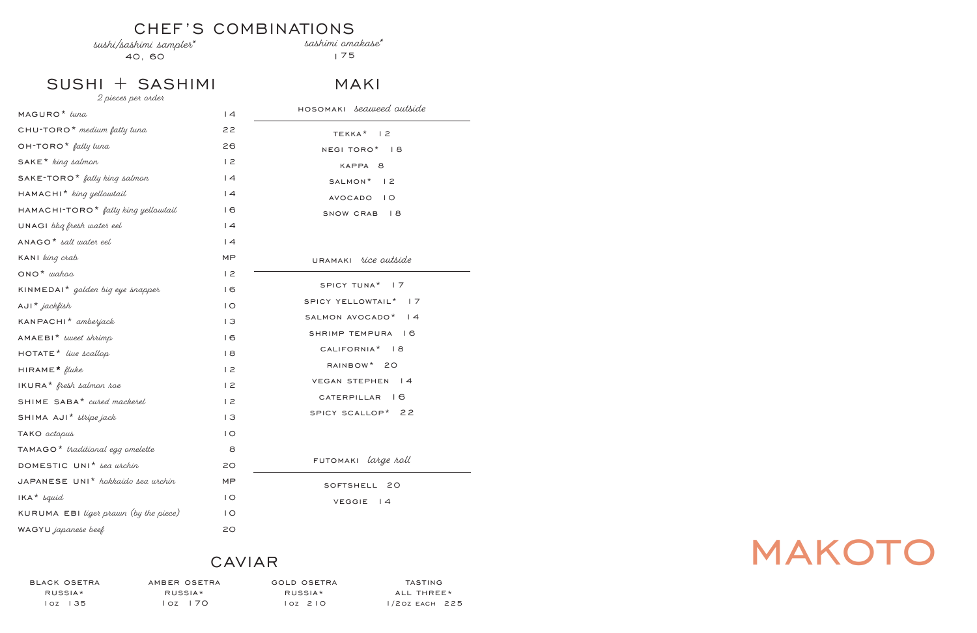

## CHEF'S COMBINATIONS

sushi/sashimi sampler\*

40, 60

sashimi omakase\*

175

SUSHI + SASHIMI

| 2 pieces per order                              |                |                                 |
|-------------------------------------------------|----------------|---------------------------------|
| MAGURO <sup>*</sup> tuna                        | 4              | HOSOMAKI <i>seaweed</i> outside |
| CHU-TORO <sup>*</sup> medium fatty tuna         | 22             | TEKKA <sup>*</sup> 12           |
| $OH$ -TORO <sup>*</sup> fatty tuna              | 26             | NEGI TORO* 18                   |
| $SAKE*$ king salmon                             | 12             | KAPPA 8                         |
| $SAKE$ -TORO <sup>*</sup> fatty king salmon     | 4              | SALMON* 12                      |
| HAMACHI <sup>*</sup> king yellowtail            | 4              | AVOCADO IO                      |
| HAMACHI-TORO <sup>*</sup> fatty king yellowtail | 16             | SNOW CRAB 18                    |
| UNAGI bbg fresh water eel                       | 4              |                                 |
| $ANAGO*$ salt water eel                         | 4              |                                 |
| KANI king crab                                  | MP             | URAMAKI rice outside            |
| $ONO^*$ wahoo                                   | 12             |                                 |
| KINMEDAI <sup>*</sup> golden big eye snapper    | 16             | SPICY TUNA <sup>*</sup> 17      |
| $AUI^*$ jackfish                                | $\overline{1}$ | SPICY YELLOWTAIL* 17            |
| KANPACHI <sup>*</sup> amberjack                 | 3              | SALMON AVOCADO* 14              |
| $AMAEBI*$ sweet shrimp                          | 16             | SHRIMP TEMPURA 16               |
| $HOTATE*$ live scallop                          | 8              | CALIFORNIA <sup>*</sup> 18      |
| $HIRAME*$ fluke                                 | 12             | RAINBOW* 20                     |
| $IKURA*$ fresh salmon roe                       | 12             | VEGAN STEPHEN<br> 4             |
| SHIME SABA* cured mackerel                      | 12             | CATERPILLAR 16                  |
| SHIMA AJI* stripe jack                          | 13             | SPICY SCALLOP* 22               |
| TAKO <i>octopus</i>                             | $\overline{O}$ |                                 |
| $TAMAGO*$ traditional egg omelette              | 8              |                                 |
| DOMESTIC UNI <sup>*</sup> sea wichin            | 20             | FUTOMAKI <i>large roll</i>      |
| JAPANESE UNI <sup>*</sup> hokkaido sea urchin   | MP             | SOFTSHELL 20                    |
| $IKA^*$ squid                                   | $\overline{1}$ | <b>VEGGIE</b><br>$\vert$ 4      |
| KURUMA EBI tiget prawn (by the piece)           | $\overline{1}$ |                                 |
| WAGYU japanese beef                             | 20             |                                 |

# CAVIAR

black osetra russia\* 1oz 135

amber osetra russia\* 1oz 170

gold osetra russia\* 1oz 210

tasting all three\* 1/2oz each 225

## MAKI